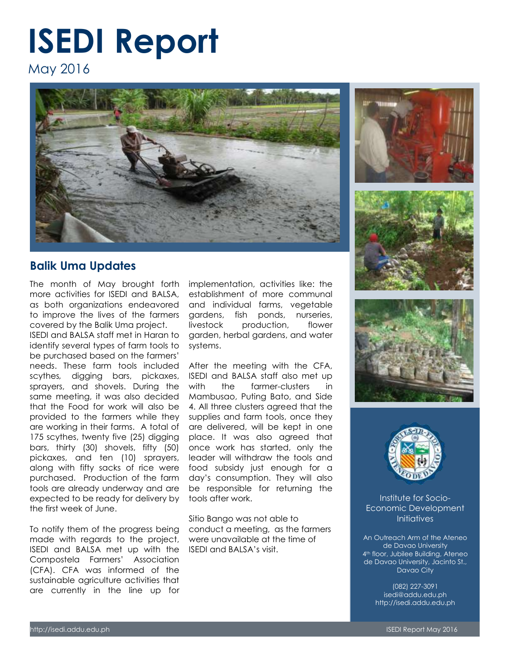# **ISEDI Report**

May 2016



## **Balik Uma Updates**

The month of May brought forth more activities for ISEDI and BALSA, as both organizations endeavored to improve the lives of the farmers covered by the Balik Uma project. ISEDI and BALSA staff met in Haran to identify several types of farm tools to be purchased based on the farmers' needs. These farm tools included scythes*,* digging bars, pickaxes, sprayers, and shovels. During the same meeting, it was also decided that the Food for work will also be provided to the farmers while they are working in their farms. A total of 175 scythes, twenty five (25) digging bars, thirty (30) shovels, fifty (50) pickaxes, and ten (10) sprayers, along with fifty sacks of rice were purchased. Production of the farm tools are already underway and are expected to be ready for delivery by the first week of June.

To notify them of the progress being made with regards to the project, ISEDI and BALSA met up with the Compostela Farmers' Association (CFA). CFA was informed of the sustainable agriculture activities that are currently in the line up for

implementation, activities like: the establishment of more communal and individual farms, vegetable gardens, fish ponds, nurseries, livestock production, flower garden, herbal gardens, and water systems.

After the meeting with the CFA, ISEDI and BALSA staff also met up with the farmer-clusters in Mambusao, Puting Bato, and Side 4. All three clusters agreed that the supplies and farm tools, once they are delivered, will be kept in one place. It was also agreed that once work has started, only the leader will withdraw the tools and food subsidy just enough for a day's consumption. They will also be responsible for returning the tools after work.

Sitio Bango was not able to conduct a meeting, as the farmers were unavailable at the time of ISEDI and BALSA's visit.







Institute for Socio-Economic Development **Initiatives** 

An Outreach Arm of the Ateneo de Davao University 4<sup>th</sup> floor, Jubilee Building, Ateneo de Davao University, Jacinto St., Davao City

> (082) 227-3091 isedi@addu.edu.ph http://isedi.addu.edu.ph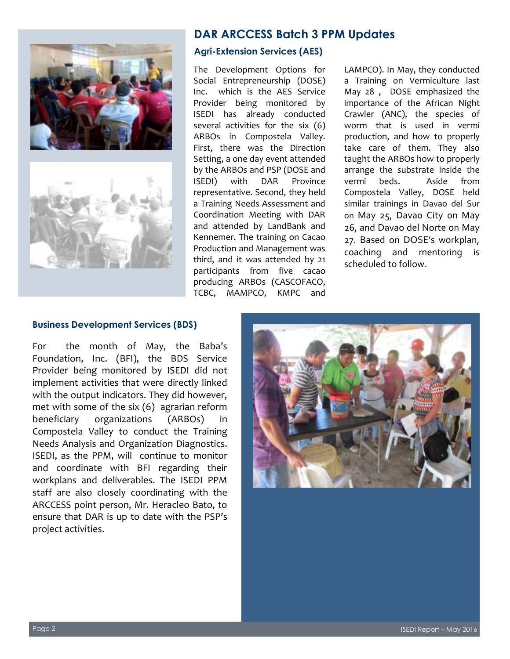



## **DAR ARCCESS Batch 3 PPM Updates**

#### **Agri-Extension Services (AES)**

The Development Options for Social Entrepreneurship (DOSE) Inc. which is the AES Service Provider being monitored by ISEDI has already conducted several activities for the six (6) ARBOs in Compostela Valley. First, there was the Direction Setting, a one day event attended by the ARBOs and PSP (DOSE and ISEDI) with DAR Province representative. Second, they held a Training Needs Assessment and Coordination Meeting with DAR and attended by LandBank and Kennemer. The training on Cacao Production and Management was third, and it was attended by 21 participants from five cacao producing ARBOs (CASCOFACO, TCBC, MAMPCO, KMPC and

LAMPCO). In May, they conducted a Training on Vermiculture last May 28 , DOSE emphasized the importance of the African Night Crawler (ANC), the species of worm that is used in vermi production, and how to properly take care of them. They also taught the ARBOs how to properly arrange the substrate inside the vermi beds. Aside from Compostela Valley, DOSE held similar trainings in Davao del Sur on May 25, Davao City on May 26, and Davao del Norte on May 27. Based on DOSE's workplan, coaching and mentoring is scheduled to follow.

#### **Business Development Services (BDS)**

For the month of May, the Baba's Foundation, Inc. (BFI), the BDS Service Provider being monitored by ISEDI did not implement activities that were directly linked with the output indicators. They did however, met with some of the six (6) agrarian reform beneficiary organizations (ARBOs) in Compostela Valley to conduct the Training Needs Analysis and Organization Diagnostics. ISEDI, as the PPM, will continue to monitor and coordinate with BFI regarding their workplans and deliverables. The ISEDI PPM staff are also closely coordinating with the ARCCESS point person, Mr. Heracleo Bato, to ensure that DAR is up to date with the PSP's project activities.